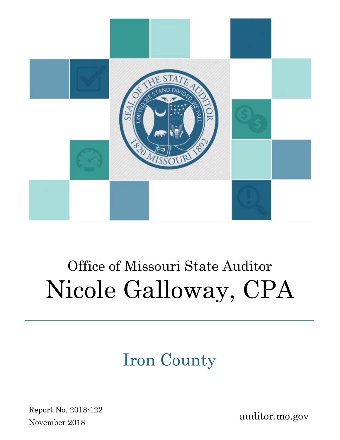

# Office of Missouri State Auditor Nicole Galloway, CPA

## Iron County

Report No. 2018-122 November 2018

auditor.mo.gov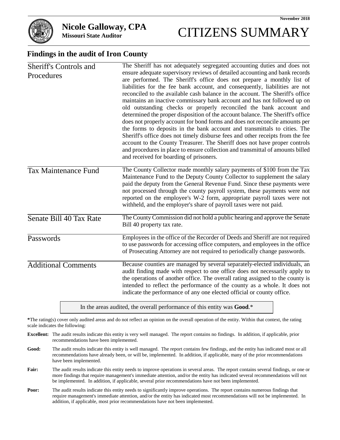## **Missouri State Auditor** CITIZENS SUMMARY

#### **Findings in the audit of Iron County**

| Sheriff's Controls and<br>Procedures | The Sheriff has not adequately segregated accounting duties and does not<br>ensure adequate supervisory reviews of detailed accounting and bank records<br>are performed. The Sheriff's office does not prepare a monthly list of<br>liabilities for the fee bank account, and consequently, liabilities are not<br>reconciled to the available cash balance in the account. The Sheriff's office<br>maintains an inactive commissary bank account and has not followed up on<br>old outstanding checks or properly reconciled the bank account and<br>determined the proper disposition of the account balance. The Sheriff's office<br>does not properly account for bond forms and does not reconcile amounts per<br>the forms to deposits in the bank account and transmittals to cities. The<br>Sheriff's office does not timely disburse fees and other receipts from the fee<br>account to the County Treasurer. The Sheriff does not have proper controls<br>and procedures in place to ensure collection and transmittal of amounts billed |
|--------------------------------------|-----------------------------------------------------------------------------------------------------------------------------------------------------------------------------------------------------------------------------------------------------------------------------------------------------------------------------------------------------------------------------------------------------------------------------------------------------------------------------------------------------------------------------------------------------------------------------------------------------------------------------------------------------------------------------------------------------------------------------------------------------------------------------------------------------------------------------------------------------------------------------------------------------------------------------------------------------------------------------------------------------------------------------------------------------|
| Tax Maintenance Fund                 | and received for boarding of prisoners.<br>The County Collector made monthly salary payments of \$100 from the Tax<br>Maintenance Fund to the Deputy County Collector to supplement the salary<br>paid the deputy from the General Revenue Fund. Since these payments were<br>not processed through the county payroll system, these payments were not<br>reported on the employee's W-2 form, appropriate payroll taxes were not<br>withheld, and the employer's share of payroll taxes were not paid.                                                                                                                                                                                                                                                                                                                                                                                                                                                                                                                                             |
| Senate Bill 40 Tax Rate              | The County Commission did not hold a public hearing and approve the Senate<br>Bill 40 property tax rate.                                                                                                                                                                                                                                                                                                                                                                                                                                                                                                                                                                                                                                                                                                                                                                                                                                                                                                                                            |
| Passwords                            | Employees in the office of the Recorder of Deeds and Sheriff are not required<br>to use passwords for accessing office computers, and employees in the office<br>of Prosecuting Attorney are not required to periodically change passwords.                                                                                                                                                                                                                                                                                                                                                                                                                                                                                                                                                                                                                                                                                                                                                                                                         |
| <b>Additional Comments</b>           | Because counties are managed by several separately-elected individuals, an<br>audit finding made with respect to one office does not necessarily apply to<br>the operations of another office. The overall rating assigned to the county is<br>intended to reflect the performance of the county as a whole. It does not<br>indicate the performance of any one elected official or county office.                                                                                                                                                                                                                                                                                                                                                                                                                                                                                                                                                                                                                                                  |

In the areas audited, the overall performance of this entity was **Good**.\*

**\***The rating(s) cover only audited areas and do not reflect an opinion on the overall operation of the entity. Within that context, the rating scale indicates the following:

- **Excellent:** The audit results indicate this entity is very well managed. The report contains no findings. In addition, if applicable, prior recommendations have been implemented.
- **Good:** The audit results indicate this entity is well managed. The report contains few findings, and the entity has indicated most or all recommendations have already been, or will be, implemented. In addition, if applicable, many of the prior recommendations have been implemented.
- Fair: The audit results indicate this entity needs to improve operations in several areas. The report contains several findings, or one or more findings that require management's immediate attention, and/or the entity has indicated several recommendations will not be implemented. In addition, if applicable, several prior recommendations have not been implemented.
- **Poor:** The audit results indicate this entity needs to significantly improve operations. The report contains numerous findings that require management's immediate attention, and/or the entity has indicated most recommendations will not be implemented. In addition, if applicable, most prior recommendations have not been implemented.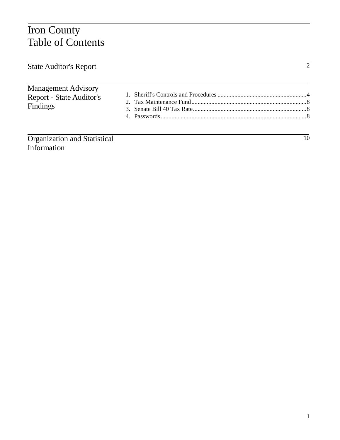## Iron County Table of Contents

| <b>State Auditor's Report</b>                                             |    |
|---------------------------------------------------------------------------|----|
| <b>Management Advisory</b><br><b>Report - State Auditor's</b><br>Findings |    |
|                                                                           |    |
| Organization and Statistical                                              | 10 |

Information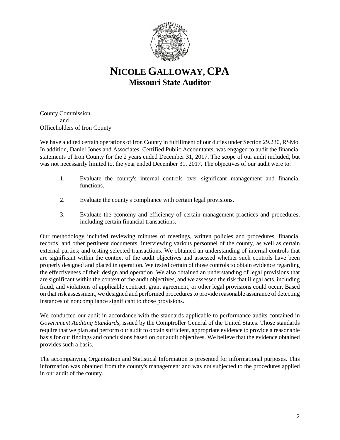

### **NICOLE GALLOWAY, CPA Missouri State Auditor**

County Commission and Officeholders of Iron County

We have audited certain operations of Iron County in fulfillment of our duties under Section 29.230, RSMo. In addition, Daniel Jones and Associates, Certified Public Accountants, was engaged to audit the financial statements of Iron County for the 2 years ended December 31, 2017. The scope of our audit included, but was not necessarily limited to, the year ended December 31, 2017. The objectives of our audit were to:

- 1. Evaluate the county's internal controls over significant management and financial functions.
- 2. Evaluate the county's compliance with certain legal provisions.
- 3. Evaluate the economy and efficiency of certain management practices and procedures, including certain financial transactions.

Our methodology included reviewing minutes of meetings, written policies and procedures, financial records, and other pertinent documents; interviewing various personnel of the county, as well as certain external parties; and testing selected transactions. We obtained an understanding of internal controls that are significant within the context of the audit objectives and assessed whether such controls have been properly designed and placed in operation. We tested certain of those controls to obtain evidence regarding the effectiveness of their design and operation. We also obtained an understanding of legal provisions that are significant within the context of the audit objectives, and we assessed the risk that illegal acts, including fraud, and violations of applicable contract, grant agreement, or other legal provisions could occur. Based on that risk assessment, we designed and performed procedures to provide reasonable assurance of detecting instances of noncompliance significant to those provisions.

We conducted our audit in accordance with the standards applicable to performance audits contained in *Government Auditing Standards*, issued by the Comptroller General of the United States. Those standards require that we plan and perform our audit to obtain sufficient, appropriate evidence to provide a reasonable basis for our findings and conclusions based on our audit objectives. We believe that the evidence obtained provides such a basis.

The accompanying Organization and Statistical Information is presented for informational purposes. This information was obtained from the county's management and was not subjected to the procedures applied in our audit of the county.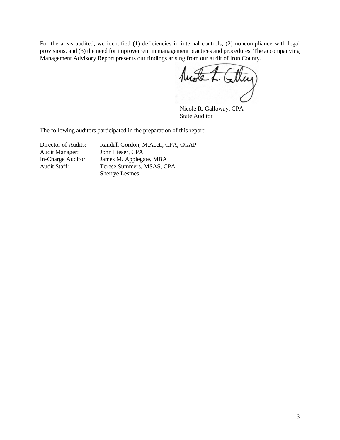For the areas audited, we identified (1) deficiencies in internal controls, (2) noncompliance with legal provisions, and (3) the need for improvement in management practices and procedures. The accompanying Management Advisory Report presents our findings arising from our audit of Iron County.

Mode L. Calley

Nicole R. Galloway, CPA State Auditor

The following auditors participated in the preparation of this report:

| Director of Audits:   | Randall Gordon, M.Acct., CPA, CGAP |
|-----------------------|------------------------------------|
| <b>Audit Manager:</b> | John Lieser, CPA                   |
| In-Charge Auditor:    | James M. Applegate, MBA            |
| Audit Staff:          | Terese Summers, MSAS, CPA          |
|                       | <b>Sherrye Lesmes</b>              |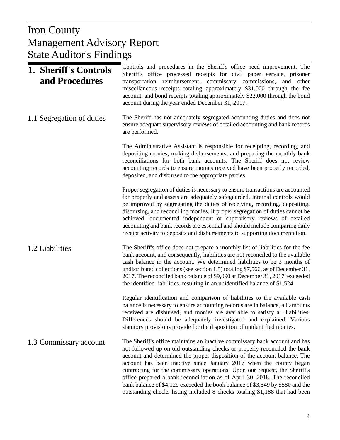#### $U_{\rm{Dop}}$ Management Advisory Report Iron County State Auditor's Findings

| 1. Sheriff's Controls<br>and Procedures | Controls and procedures in the Sheriff's office need improvement. The<br>Sheriff's office processed receipts for civil paper service, prisoner<br>transportation reimbursement, commissary commissions, and other<br>miscellaneous receipts totaling approximately \$31,000 through the fee<br>account, and bond receipts totaling approximately \$22,000 through the bond<br>account during the year ended December 31, 2017.                                                                                                                                                                                                         |
|-----------------------------------------|----------------------------------------------------------------------------------------------------------------------------------------------------------------------------------------------------------------------------------------------------------------------------------------------------------------------------------------------------------------------------------------------------------------------------------------------------------------------------------------------------------------------------------------------------------------------------------------------------------------------------------------|
| 1.1 Segregation of duties               | The Sheriff has not adequately segregated accounting duties and does not<br>ensure adequate supervisory reviews of detailed accounting and bank records<br>are performed.                                                                                                                                                                                                                                                                                                                                                                                                                                                              |
|                                         | The Administrative Assistant is responsible for receipting, recording, and<br>depositing monies; making disbursements; and preparing the monthly bank<br>reconciliations for both bank accounts. The Sheriff does not review<br>accounting records to ensure monies received have been properly recorded,<br>deposited, and disbursed to the appropriate parties.                                                                                                                                                                                                                                                                      |
|                                         | Proper segregation of duties is necessary to ensure transactions are accounted<br>for properly and assets are adequately safeguarded. Internal controls would<br>be improved by segregating the duties of receiving, recording, depositing,<br>disbursing, and reconciling monies. If proper segregation of duties cannot be<br>achieved, documented independent or supervisory reviews of detailed<br>accounting and bank records are essential and should include comparing daily<br>receipt activity to deposits and disbursements to supporting documentation.                                                                     |
| 1.2 Liabilities                         | The Sheriff's office does not prepare a monthly list of liabilities for the fee<br>bank account, and consequently, liabilities are not reconciled to the available<br>cash balance in the account. We determined liabilities to be 3 months of<br>undistributed collections (see section 1.5) totaling \$7,566, as of December 31,<br>2017. The reconciled bank balance of \$9,090 at December 31, 2017, exceeded<br>the identified liabilities, resulting in an unidentified balance of \$1,524.                                                                                                                                      |
|                                         | Regular identification and comparison of liabilities to the available cash<br>balance is necessary to ensure accounting records are in balance, all amounts<br>received are disbursed, and monies are available to satisfy all liabilities.<br>Differences should be adequately investigated and explained. Various<br>statutory provisions provide for the disposition of unidentified monies.                                                                                                                                                                                                                                        |
| 1.3 Commissary account                  | The Sheriff's office maintains an inactive commissary bank account and has<br>not followed up on old outstanding checks or properly reconciled the bank<br>account and determined the proper disposition of the account balance. The<br>account has been inactive since January 2017 when the county began<br>contracting for the commissary operations. Upon our request, the Sheriff's<br>office prepared a bank reconciliation as of April 30, 2018. The reconciled<br>bank balance of \$4,129 exceeded the book balance of \$3,549 by \$580 and the<br>outstanding checks listing included 8 checks totaling \$1,188 that had been |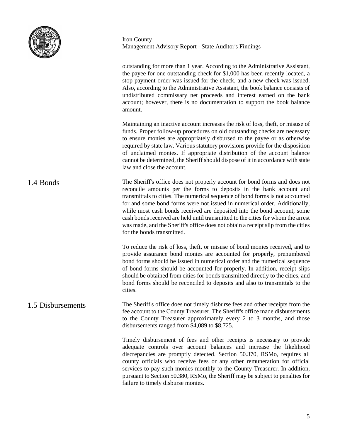

outstanding for more than 1 year. According to the Administrative Assistant, the payee for one outstanding check for \$1,000 has been recently located, a stop payment order was issued for the check, and a new check was issued. Also, according to the Administrative Assistant, the book balance consists of undistributed commissary net proceeds and interest earned on the bank account; however, there is no documentation to support the book balance amount. Maintaining an inactive account increases the risk of loss, theft, or misuse of funds. Proper follow-up procedures on old outstanding checks are necessary to ensure monies are appropriately disbursed to the payee or as otherwise required by state law. Various statutory provisions provide for the disposition of unclaimed monies. If appropriate distribution of the account balance cannot be determined, the Sheriff should dispose of it in accordance with state law and close the account. The Sheriff's office does not properly account for bond forms and does not reconcile amounts per the forms to deposits in the bank account and transmittals to cities. The numerical sequence of bond forms is not accounted for and some bond forms were not issued in numerical order. Additionally, while most cash bonds received are deposited into the bond account, some cash bonds received are held until transmitted to the cities for whom the arrest was made, and the Sheriff's office does not obtain a receipt slip from the cities for the bonds transmitted. To reduce the risk of loss, theft, or misuse of bond monies received, and to provide assurance bond monies are accounted for properly, prenumbered bond forms should be issued in numerical order and the numerical sequence of bond forms should be accounted for properly. In addition, receipt slips should be obtained from cities for bonds transmitted directly to the cities, and bond forms should be reconciled to deposits and also to transmittals to the cities. The Sheriff's office does not timely disburse fees and other receipts from the fee account to the County Treasurer. The Sheriff's office made disbursements to the County Treasurer approximately every 2 to 3 months, and those disbursements ranged from \$4,089 to \$8,725. Timely disbursement of fees and other receipts is necessary to provide adequate controls over account balances and increase the likelihood discrepancies are promptly detected. Section 50.370, RSMo, requires all county officials who receive fees or any other remuneration for official services to pay such monies monthly to the County Treasurer. In addition, pursuant to Section 50.380, RSMo, the Sheriff may be subject to penalties for failure to timely disburse monies. 1.4 Bonds 1.5 Disbursements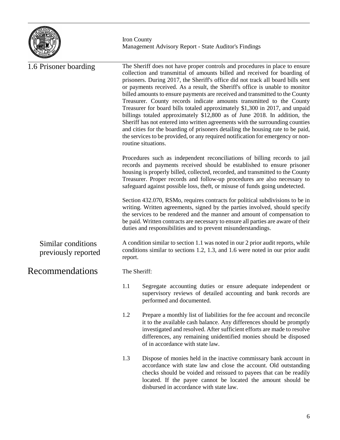

Iron County Management Advisory Report - State Auditor's Findings

| 1.6 Prisoner boarding                     |              | The Sheriff does not have proper controls and procedures in place to ensure<br>collection and transmittal of amounts billed and received for boarding of<br>prisoners. During 2017, the Sheriff's office did not track all board bills sent<br>or payments received. As a result, the Sheriff's office is unable to monitor<br>billed amounts to ensure payments are received and transmitted to the County<br>Treasurer. County records indicate amounts transmitted to the County<br>Treasurer for board bills totaled approximately \$1,300 in 2017, and unpaid<br>billings totaled approximately \$12,800 as of June 2018. In addition, the<br>Sheriff has not entered into written agreements with the surrounding counties<br>and cities for the boarding of prisoners detailing the housing rate to be paid,<br>the services to be provided, or any required notification for emergency or non-<br>routine situations.<br>Procedures such as independent reconciliations of billing records to jail<br>records and payments received should be established to ensure prisoner<br>housing is properly billed, collected, recorded, and transmitted to the County<br>Treasurer. Proper records and follow-up procedures are also necessary to<br>safeguard against possible loss, theft, or misuse of funds going undetected. |
|-------------------------------------------|--------------|------------------------------------------------------------------------------------------------------------------------------------------------------------------------------------------------------------------------------------------------------------------------------------------------------------------------------------------------------------------------------------------------------------------------------------------------------------------------------------------------------------------------------------------------------------------------------------------------------------------------------------------------------------------------------------------------------------------------------------------------------------------------------------------------------------------------------------------------------------------------------------------------------------------------------------------------------------------------------------------------------------------------------------------------------------------------------------------------------------------------------------------------------------------------------------------------------------------------------------------------------------------------------------------------------------------------------------|
|                                           |              | Section 432.070, RSMo, requires contracts for political subdivisions to be in<br>writing. Written agreements, signed by the parties involved, should specify<br>the services to be rendered and the manner and amount of compensation to<br>be paid. Written contracts are necessary to ensure all parties are aware of their<br>duties and responsibilities and to prevent misunderstandings.                                                                                                                                                                                                                                                                                                                                                                                                                                                                                                                                                                                                                                                                                                                                                                                                                                                                                                                                     |
| Similar conditions<br>previously reported | report.      | A condition similar to section 1.1 was noted in our 2 prior audit reports, while<br>conditions similar to sections 1.2, 1.3, and 1.6 were noted in our prior audit                                                                                                                                                                                                                                                                                                                                                                                                                                                                                                                                                                                                                                                                                                                                                                                                                                                                                                                                                                                                                                                                                                                                                                 |
| Recommendations                           | The Sheriff: |                                                                                                                                                                                                                                                                                                                                                                                                                                                                                                                                                                                                                                                                                                                                                                                                                                                                                                                                                                                                                                                                                                                                                                                                                                                                                                                                    |
|                                           | 1.1          | Segregate accounting duties or ensure adequate independent or<br>supervisory reviews of detailed accounting and bank records are<br>performed and documented.                                                                                                                                                                                                                                                                                                                                                                                                                                                                                                                                                                                                                                                                                                                                                                                                                                                                                                                                                                                                                                                                                                                                                                      |
|                                           | 1.2          | Prepare a monthly list of liabilities for the fee account and reconcile<br>it to the available cash balance. Any differences should be promptly<br>investigated and resolved. After sufficient efforts are made to resolve<br>differences, any remaining unidentified monies should be disposed<br>of in accordance with state law.                                                                                                                                                                                                                                                                                                                                                                                                                                                                                                                                                                                                                                                                                                                                                                                                                                                                                                                                                                                                |
|                                           | 1.3          | Dispose of monies held in the inactive commissary bank account in<br>accordance with state law and close the account. Old outstanding<br>checks should be voided and reissued to payees that can be readily<br>located. If the payee cannot be located the amount should be<br>disbursed in accordance with state law.                                                                                                                                                                                                                                                                                                                                                                                                                                                                                                                                                                                                                                                                                                                                                                                                                                                                                                                                                                                                             |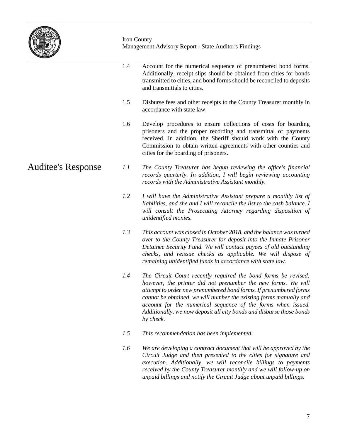

Iron County Management Advisory Report - State Auditor's Findings

|                    | 1.4 | Account for the numerical sequence of prenumbered bond forms.<br>Additionally, receipt slips should be obtained from cities for bonds<br>transmitted to cities, and bond forms should be reconciled to deposits<br>and transmittals to cities.                                                                                                                                                                                  |
|--------------------|-----|---------------------------------------------------------------------------------------------------------------------------------------------------------------------------------------------------------------------------------------------------------------------------------------------------------------------------------------------------------------------------------------------------------------------------------|
|                    | 1.5 | Disburse fees and other receipts to the County Treasurer monthly in<br>accordance with state law.                                                                                                                                                                                                                                                                                                                               |
|                    | 1.6 | Develop procedures to ensure collections of costs for boarding<br>prisoners and the proper recording and transmittal of payments<br>received. In addition, the Sheriff should work with the County<br>Commission to obtain written agreements with other counties and<br>cities for the boarding of prisoners.                                                                                                                  |
| Auditee's Response | 1.1 | The County Treasurer has begun reviewing the office's financial<br>records quarterly. In addition, I will begin reviewing accounting<br>records with the Administrative Assistant monthly.                                                                                                                                                                                                                                      |
|                    | 1.2 | I will have the Administrative Assistant prepare a monthly list of<br>liabilities, and she and I will reconcile the list to the cash balance. I<br>will consult the Prosecuting Attorney regarding disposition of<br>unidentified monies.                                                                                                                                                                                       |
|                    | 1.3 | This account was closed in October 2018, and the balance was turned<br>over to the County Treasurer for deposit into the Inmate Prisoner<br>Detainee Security Fund. We will contact payees of old outstanding<br>checks, and reissue checks as applicable. We will dispose of<br>remaining unidentified funds in accordance with state law.                                                                                     |
|                    | 1.4 | The Circuit Court recently required the bond forms be revised;<br>however, the printer did not prenumber the new forms. We will<br>attempt to order new prenumbered bond forms. If prenumbered forms<br>cannot be obtained, we will number the existing forms manually and<br>account for the numerical sequence of the forms when issued.<br>Additionally, we now deposit all city bonds and disburse those bonds<br>by check. |
|                    | 1.5 | This recommendation has been implemented.                                                                                                                                                                                                                                                                                                                                                                                       |
|                    | 1.6 | We are developing a contract document that will be approved by the<br>Circuit Judge and then presented to the cities for signature and<br>execution. Additionally, we will reconcile billings to payments                                                                                                                                                                                                                       |

*received by the County Treasurer monthly and we will follow-up on unpaid billings and notify the Circuit Judge about unpaid billings.*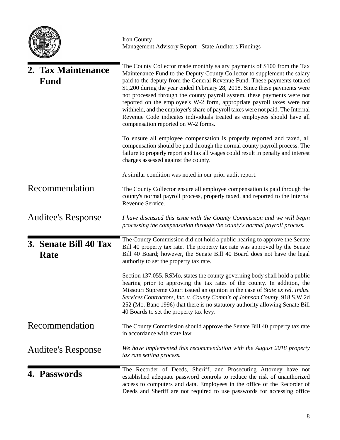| MISSOUR! |
|----------|
|----------|

| 2. Tax Maintenance<br><b>Fund</b> | The County Collector made monthly salary payments of \$100 from the Tax<br>Maintenance Fund to the Deputy County Collector to supplement the salary<br>paid to the deputy from the General Revenue Fund. These payments totaled<br>\$1,200 during the year ended February 28, 2018. Since these payments were<br>not processed through the county payroll system, these payments were not<br>reported on the employee's W-2 form, appropriate payroll taxes were not<br>withheld, and the employer's share of payroll taxes were not paid. The Internal<br>Revenue Code indicates individuals treated as employees should have all<br>compensation reported on W-2 forms.<br>To ensure all employee compensation is properly reported and taxed, all |
|-----------------------------------|------------------------------------------------------------------------------------------------------------------------------------------------------------------------------------------------------------------------------------------------------------------------------------------------------------------------------------------------------------------------------------------------------------------------------------------------------------------------------------------------------------------------------------------------------------------------------------------------------------------------------------------------------------------------------------------------------------------------------------------------------|
|                                   | compensation should be paid through the normal county payroll process. The<br>failure to properly report and tax all wages could result in penalty and interest<br>charges assessed against the county.                                                                                                                                                                                                                                                                                                                                                                                                                                                                                                                                              |
|                                   | A similar condition was noted in our prior audit report.                                                                                                                                                                                                                                                                                                                                                                                                                                                                                                                                                                                                                                                                                             |
| Recommendation                    | The County Collector ensure all employee compensation is paid through the<br>county's normal payroll process, properly taxed, and reported to the Internal<br>Revenue Service.                                                                                                                                                                                                                                                                                                                                                                                                                                                                                                                                                                       |
| <b>Auditee's Response</b>         | I have discussed this issue with the County Commission and we will begin<br>processing the compensation through the county's normal payroll process.                                                                                                                                                                                                                                                                                                                                                                                                                                                                                                                                                                                                 |
| 3. Senate Bill 40 Tax<br>Rate     | The County Commission did not hold a public hearing to approve the Senate<br>Bill 40 property tax rate. The property tax rate was approved by the Senate<br>Bill 40 Board; however, the Senate Bill 40 Board does not have the legal<br>authority to set the property tax rate.                                                                                                                                                                                                                                                                                                                                                                                                                                                                      |
|                                   | Section 137.055, RSMo, states the county governing body shall hold a public<br>hearing prior to approving the tax rates of the county. In addition, the<br>Missouri Supreme Court issued an opinion in the case of State ex rel. Indus.<br>Services Contractors, Inc. v. County Comm'n of Johnson County, 918 S.W.2d<br>252 (Mo. Banc 1996) that there is no statutory authority allowing Senate Bill<br>40 Boards to set the property tax levy.                                                                                                                                                                                                                                                                                                     |
| Recommendation                    | The County Commission should approve the Senate Bill 40 property tax rate<br>in accordance with state law.                                                                                                                                                                                                                                                                                                                                                                                                                                                                                                                                                                                                                                           |
| <b>Auditee's Response</b>         | We have implemented this recommendation with the August 2018 property<br>tax rate setting process.                                                                                                                                                                                                                                                                                                                                                                                                                                                                                                                                                                                                                                                   |
| 4. Passwords                      | The Recorder of Deeds, Sheriff, and Prosecuting Attorney have not<br>established adequate password controls to reduce the risk of unauthorized<br>access to computers and data. Employees in the office of the Recorder of<br>Deeds and Sheriff are not required to use passwords for accessing office                                                                                                                                                                                                                                                                                                                                                                                                                                               |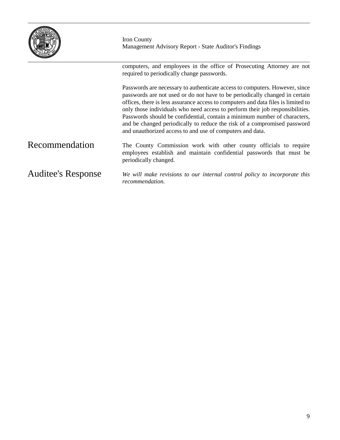|                           | Iron County<br>Management Advisory Report - State Auditor's Findings                                                                                                                                                                                                                                                                                                                                                                                                                                                                                   |
|---------------------------|--------------------------------------------------------------------------------------------------------------------------------------------------------------------------------------------------------------------------------------------------------------------------------------------------------------------------------------------------------------------------------------------------------------------------------------------------------------------------------------------------------------------------------------------------------|
|                           | computers, and employees in the office of Prosecuting Attorney are not<br>required to periodically change passwords.                                                                                                                                                                                                                                                                                                                                                                                                                                   |
|                           | Passwords are necessary to authenticate access to computers. However, since<br>passwords are not used or do not have to be periodically changed in certain<br>offices, there is less assurance access to computers and data files is limited to<br>only those individuals who need access to perform their job responsibilities.<br>Passwords should be confidential, contain a minimum number of characters,<br>and be changed periodically to reduce the risk of a compromised password<br>and unauthorized access to and use of computers and data. |
| Recommendation            | The County Commission work with other county officials to require<br>employees establish and maintain confidential passwords that must be<br>periodically changed.                                                                                                                                                                                                                                                                                                                                                                                     |
| <b>Auditee's Response</b> | We will make revisions to our internal control policy to incorporate this<br>recommendation.                                                                                                                                                                                                                                                                                                                                                                                                                                                           |